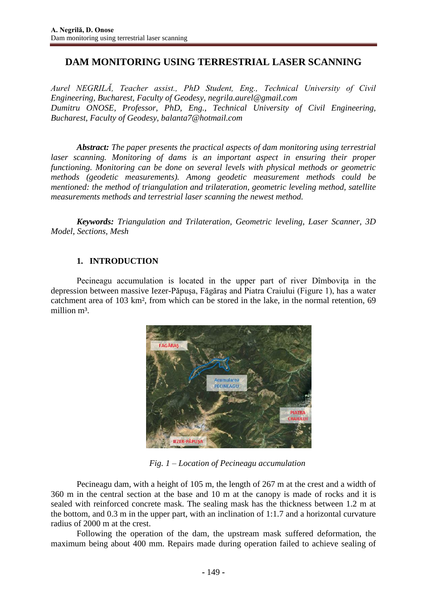# **DAM MONITORING USING TERRESTRIAL LASER SCANNING**

*Aurel NEGRILĂ, Teacher assist., PhD Student, Eng., Technical University of Civil Engineering, Bucharest, Faculty of Geodesy, [negrila.aurel@gmail.com](mailto:negrila.aurel@gmail.com) Dumitru ONOSE, Professor, PhD, Eng., Technical University of Civil Engineering, Bucharest, Faculty of Geodesy, [balanta7@hotmail.com](mailto:balanta7@hotmail.com)*

*Abstract: The paper presents the practical aspects of dam monitoring using terrestrial laser scanning. Monitoring of dams is an important aspect in ensuring their proper functioning. Monitoring can be done on several levels with physical methods or geometric methods (geodetic measurements). Among geodetic measurement methods could be mentioned: the method of triangulation and trilateration, geometric leveling method, satellite measurements methods and terrestrial laser scanning the newest method.*

*Keywords: Triangulation and Trilateration, Geometric leveling, Laser Scanner, 3D Model, Sections, Mesh*

## **1. INTRODUCTION**

Pecineagu accumulation is located in the upper part of river Dîmbovita in the depression between massive Iezer-Păpuşa, Făgăraş and Piatra Craiului (Figure 1), has a water catchment area of 103 km², from which can be stored in the lake, in the normal retention, 69 million m<sup>3</sup>.



 *Fig. 1 – Location of Pecineagu accumulation*

Pecineagu dam, with a height of 105 m, the length of 267 m at the crest and a width of 360 m in the central section at the base and 10 m at the canopy is made of rocks and it is sealed with reinforced concrete mask. The sealing mask has the thickness between 1.2 m at the bottom, and 0.3 m in the upper part, with an inclination of 1:1.7 and a horizontal curvature radius of 2000 m at the crest.

Following the operation of the dam, the upstream mask suffered deformation, the maximum being about 400 mm. Repairs made during operation failed to achieve sealing of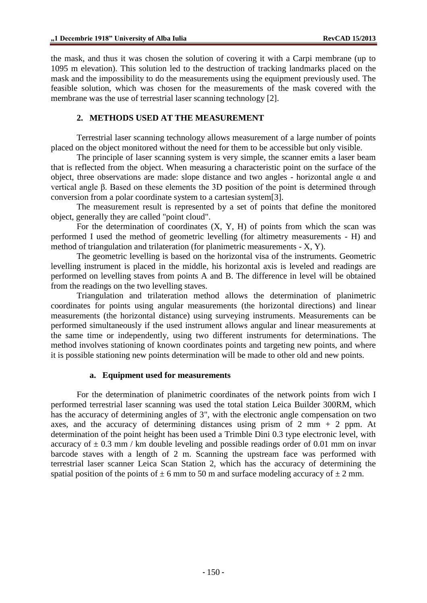the mask, and thus it was chosen the solution of covering it with a Carpi membrane (up to 1095 m elevation). This solution led to the destruction of tracking landmarks placed on the mask and the impossibility to do the measurements using the equipment previously used. The feasible solution, which was chosen for the measurements of the mask covered with the membrane was the use of terrestrial laser scanning technology [2].

### **2. METHODS USED AT THE MEASUREMENT**

Terrestrial laser scanning technology allows measurement of a large number of points placed on the object monitored without the need for them to be accessible but only visible.

The principle of laser scanning system is very simple, the scanner emits a laser beam that is reflected from the object. When measuring a characteristic point on the surface of the object, three observations are made: slope distance and two angles - horizontal angle  $α$  and vertical angle β. Based on these elements the 3D position of the point is determined through conversion from a polar coordinate system to a cartesian system[3].

The measurement result is represented by a set of points that define the monitored object, generally they are called "point cloud".

For the determination of coordinates  $(X, Y, H)$  of points from which the scan was performed I used the method of geometric levelling (for altimetry measurements - H) and method of triangulation and trilateration (for planimetric measurements - X, Y).

The geometric levelling is based on the horizontal visa of the instruments. Geometric levelling instrument is placed in the middle, his horizontal axis is leveled and readings are performed on levelling staves from points A and B. The difference in level will be obtained from the readings on the two levelling staves.

Triangulation and trilateration method allows the determination of planimetric coordinates for points using angular measurements (the horizontal directions) and linear measurements (the horizontal distance) using surveying instruments. Measurements can be performed simultaneously if the used instrument allows angular and linear measurements at the same time or independently, using two different instruments for determinations. The method involves stationing of known coordinates points and targeting new points, and where it is possible stationing new points determination will be made to other old and new points.

#### **a. Equipment used for measurements**

For the determination of planimetric coordinates of the network points from wich I performed terrestrial laser scanning was used the total station Leica Builder 300RM, which has the accuracy of determining angles of 3", with the electronic angle compensation on two axes, and the accuracy of determining distances using prism of  $2 \text{ mm} + 2 \text{ ppm}$ . At determination of the point height has been used a Trimble Dini 0.3 type electronic level, with accuracy of  $\pm$  0.3 mm / km double leveling and possible readings order of 0.01 mm on invar barcode staves with a length of 2 m. Scanning the upstream face was performed with terrestrial laser scanner Leica Scan Station 2, which has the accuracy of determining the spatial position of the points of  $\pm$  6 mm to 50 m and surface modeling accuracy of  $\pm$  2 mm.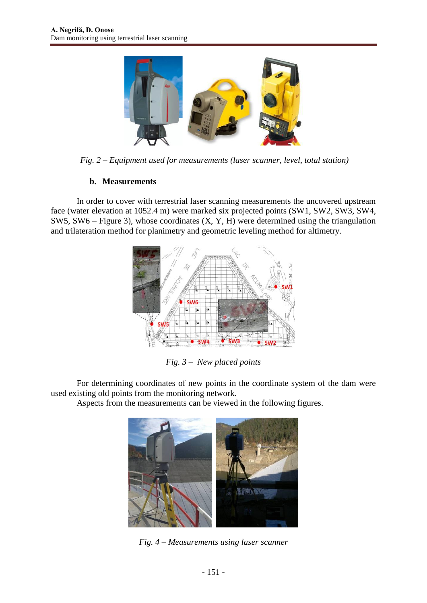

*Fig. 2 – Equipment used for measurements (laser scanner, level, total station)*

### **b. Measurements**

In order to cover with terrestrial laser scanning measurements the uncovered upstream face (water elevation at 1052.4 m) were marked six projected points (SW1, SW2, SW3, SW4, SW5, SW6 – Figure 3), whose coordinates (X, Y, H) were determined using the triangulation and trilateration method for planimetry and geometric leveling method for altimetry.



*Fig. 3 – New placed points*

For determining coordinates of new points in the coordinate system of the dam were used existing old points from the monitoring network.

Aspects from the measurements can be viewed in the following figures.



*Fig. 4 – Measurements using laser scanner*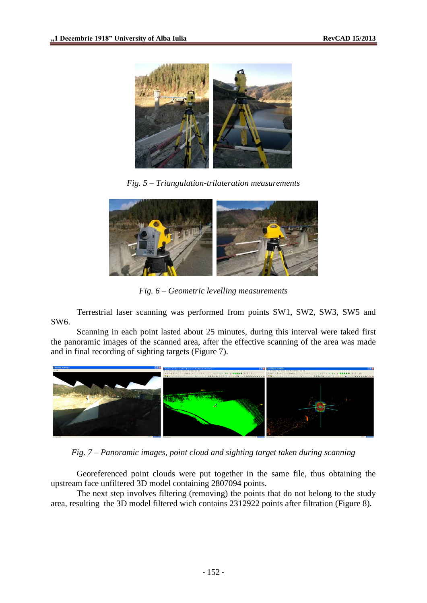

*Fig. 5 – Triangulation-trilateration measurements*



*Fig. 6 – Geometric levelling measurements*

Terrestrial laser scanning was performed from points SW1, SW2, SW3, SW5 and SW6.

Scanning in each point lasted about 25 minutes, during this interval were taked first the panoramic images of the scanned area, after the effective scanning of the area was made and in final recording of sighting targets (Figure 7).



*Fig. 7 – Panoramic images, point cloud and sighting target taken during scanning*

Georeferenced point clouds were put together in the same file, thus obtaining the upstream face unfiltered 3D model containing 2807094 points.

The next step involves filtering (removing) the points that do not belong to the study area, resulting the 3D model filtered wich contains 2312922 points after filtration (Figure 8).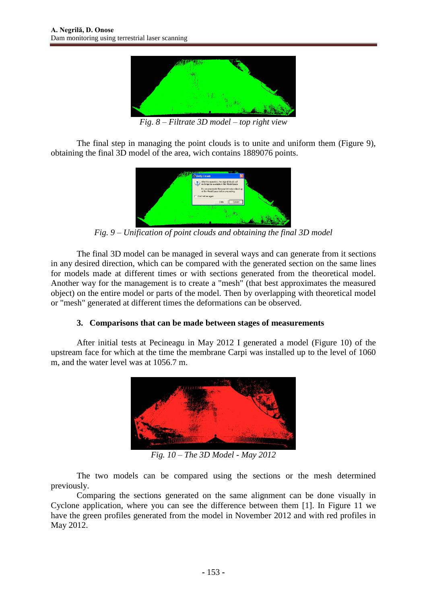

*Fig. 8 – Filtrate 3D model – top right view*

The final step in managing the point clouds is to unite and uniform them (Figure 9), obtaining the final 3D model of the area, wich contains 1889076 points.



*Fig. 9 – Unification of point clouds and obtaining the final 3D model*

The final 3D model can be managed in several ways and can generate from it sections in any desired direction, which can be compared with the generated section on the same lines for models made at different times or with sections generated from the theoretical model. Another way for the management is to create a "mesh" (that best approximates the measured object) on the entire model or parts of the model. Then by overlapping with theoretical model or "mesh" generated at different times the deformations can be observed.

### **3. Comparisons that can be made between stages of measurements**

After initial tests at Pecineagu in May 2012 I generated a model (Figure 10) of the upstream face for which at the time the membrane Carpi was installed up to the level of 1060 m, and the water level was at 1056.7 m.



*Fig. 10 – The 3D Model - May 2012*

The two models can be compared using the sections or the mesh determined previously.

Comparing the sections generated on the same alignment can be done visually in Cyclone application, where you can see the difference between them [1]. In Figure 11 we have the green profiles generated from the model in November 2012 and with red profiles in May 2012.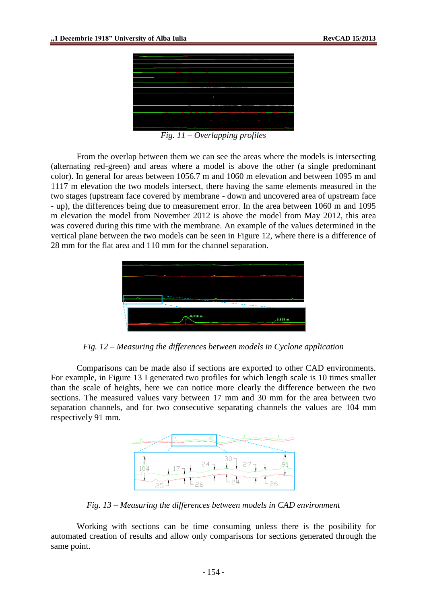

*Fig. 11 – Overlapping profiles*

From the overlap between them we can see the areas where the models is intersecting (alternating red-green) and areas where a model is above the other (a single predominant color). In general for areas between 1056.7 m and 1060 m elevation and between 1095 m and 1117 m elevation the two models intersect, there having the same elements measured in the two stages (upstream face covered by membrane - down and uncovered area of upstream face - up), the differences being due to measurement error. In the area between 1060 m and 1095 m elevation the model from November 2012 is above the model from May 2012, this area was covered during this time with the membrane. An example of the values determined in the vertical plane between the two models can be seen in Figure 12, where there is a difference of 28 mm for the flat area and 110 mm for the channel separation.



*Fig. 12 – Measuring the differences between models in Cyclone application*

Comparisons can be made also if sections are exported to other CAD environments. For example, in Figure 13 I generated two profiles for which length scale is 10 times smaller than the scale of heights, here we can notice more clearly the difference between the two sections. The measured values vary between 17 mm and 30 mm for the area between two separation channels, and for two consecutive separating channels the values are 104 mm respectively 91 mm.



*Fig. 13 – Measuring the differences between models in CAD environment*

Working with sections can be time consuming unless there is the posibility for automated creation of results and allow only comparisons for sections generated through the same point.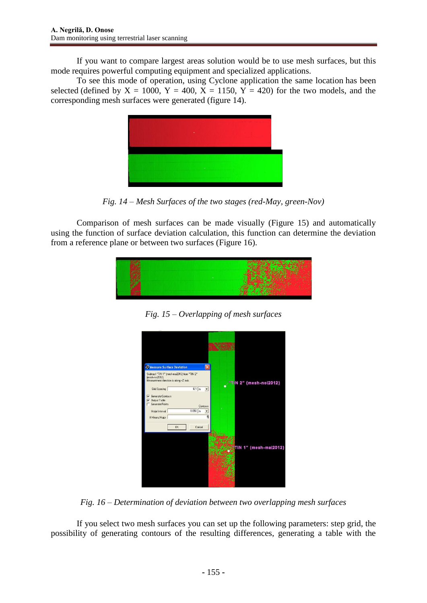If you want to compare largest areas solution would be to use mesh surfaces, but this mode requires powerful computing equipment and specialized applications.

To see this mode of operation, using Cyclone application the same location has been selected (defined by  $X = 1000$ ,  $Y = 400$ ,  $X = 1150$ ,  $Y = 420$ ) for the two models, and the corresponding mesh surfaces were generated (figure 14).



*Fig. 14 – Mesh Surfaces of the two stages (red-May, green-Nov)*

Comparison of mesh surfaces can be made visually (Figure 15) and automatically using the function of surface deviation calculation, this function can determine the deviation from a reference plane or between two surfaces (Figure 16).



*Fig. 15 – Overlapping of mesh surfaces*



*Fig. 16 – Determination of deviation between two overlapping mesh surfaces*

If you select two mesh surfaces you can set up the following parameters: step grid, the possibility of generating contours of the resulting differences, generating a table with the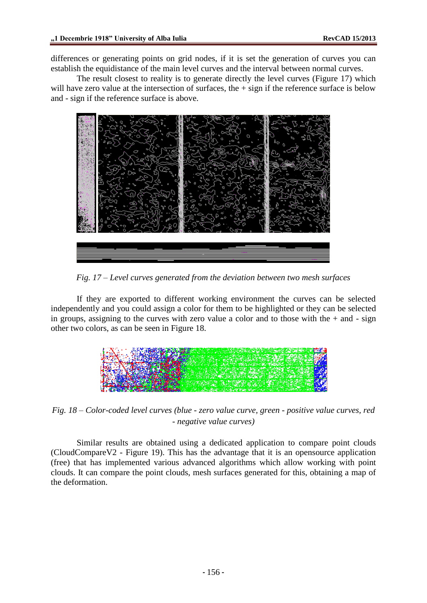differences or generating points on grid nodes, if it is set the generation of curves you can establish the equidistance of the main level curves and the interval between normal curves.

The result closest to reality is to generate directly the level curves (Figure 17) which will have zero value at the intersection of surfaces, the  $+$  sign if the reference surface is below and - sign if the reference surface is above.



*Fig. 17 – Level curves generated from the deviation between two mesh surfaces*

If they are exported to different working environment the curves can be selected independently and you could assign a color for them to be highlighted or they can be selected in groups, assigning to the curves with zero value a color and to those with the  $+$  and  $-$  sign other two colors, as can be seen in Figure 18.



*Fig. 18 – Color-coded level curves (blue - zero value curve, green - positive value curves, red - negative value curves)*

Similar results are obtained using a dedicated application to compare point clouds (CloudCompareV2 - Figure 19). This has the advantage that it is an opensource application (free) that has implemented various advanced algorithms which allow working with point clouds. It can compare the point clouds, mesh surfaces generated for this, obtaining a map of the deformation.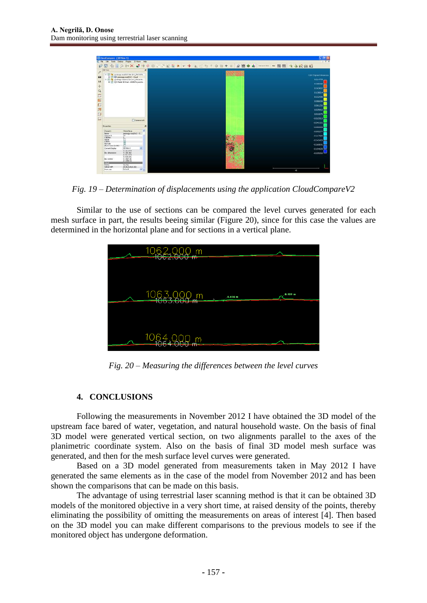

*Fig. 19 – Determination of displacements using the application CloudCompareV2*

Similar to the use of sections can be compared the level curves generated for each mesh surface in part, the results beeing similar (Figure 20), since for this case the values are determined in the horizontal plane and for sections in a vertical plane.



*Fig. 20 – Measuring the differences between the level curves*

### **4. CONCLUSIONS**

Following the measurements in November 2012 I have obtained the 3D model of the upstream face bared of water, vegetation, and natural household waste. On the basis of final 3D model were generated vertical section, on two alignments parallel to the axes of the planimetric coordinate system. Also on the basis of final 3D model mesh surface was generated, and then for the mesh surface level curves were generated.

Based on a 3D model generated from measurements taken in May 2012 I have generated the same elements as in the case of the model from November 2012 and has been shown the comparisons that can be made on this basis.

The advantage of using terrestrial laser scanning method is that it can be obtained 3D models of the monitored objective in a very short time, at raised density of the points, thereby eliminating the possibility of omitting the measurements on areas of interest [4]. Then based on the 3D model you can make different comparisons to the previous models to see if the monitored object has undergone deformation.